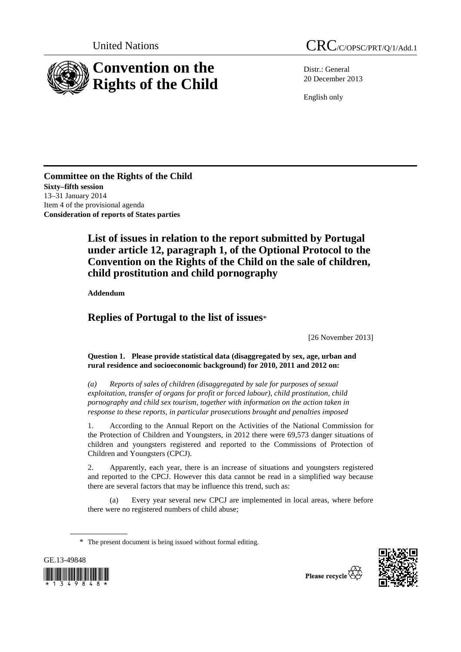

Distr.: General 20 December 2013

English only

**Committee on the Rights of the Child Sixty–fifth session**  13–31 January 2014 Item 4 of the provisional agenda **Consideration of reports of States parties** 

# **List of issues in relation to the report submitted by Portugal under article 12, paragraph 1, of the Optional Protocol to the Convention on the Rights of the Child on the sale of children, child prostitution and child pornography**

 **Addendum** 

## **Replies of Portugal to the list of issues**\*

[26 November 2013]

### **Question 1. Please provide statistical data (disaggregated by sex, age, urban and rural residence and socioeconomic background) for 2010, 2011 and 2012 on:**

 *(a) Reports of sales of children (disaggregated by sale for purposes of sexual exploitation, transfer of organs for profit or forced labour), child prostitution, child pornography and child sex tourism, together with information on the action taken in response to these reports, in particular prosecutions brought and penalties imposed* 

1. According to the Annual Report on the Activities of the National Commission for the Protection of Children and Youngsters, in 2012 there were 69,573 danger situations of children and youngsters registered and reported to the Commissions of Protection of Children and Youngsters (CPCJ).

2. Apparently, each year, there is an increase of situations and youngsters registered and reported to the CPCJ. However this data cannot be read in a simplified way because there are several factors that may be influence this trend, such as:

(a) Every year several new CPCJ are implemented in local areas, where before there were no registered numbers of child abuse;

<sup>\*</sup> The present document is being issued without formal editing.



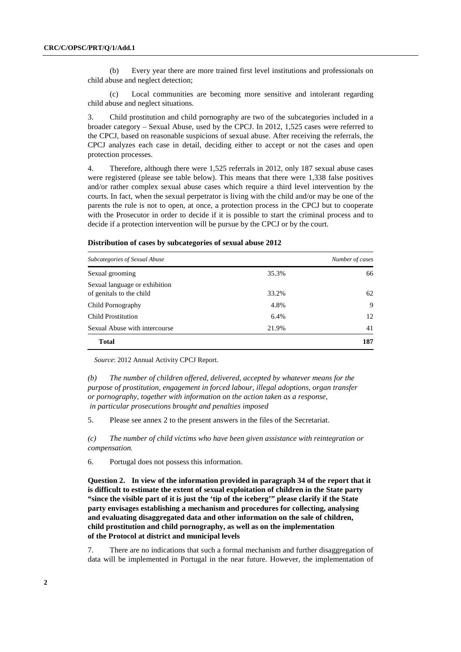(b) Every year there are more trained first level institutions and professionals on child abuse and neglect detection;

(c) Local communities are becoming more sensitive and intolerant regarding child abuse and neglect situations.

3. Child prostitution and child pornography are two of the subcategories included in a broader category – Sexual Abuse, used by the CPCJ. In 2012, 1,525 cases were referred to the CPCJ, based on reasonable suspicions of sexual abuse. After receiving the referrals, the CPCJ analyzes each case in detail, deciding either to accept or not the cases and open protection processes.

4. Therefore, although there were 1,525 referrals in 2012, only 187 sexual abuse cases were registered (please see table below). This means that there were 1,338 false positives and/or rather complex sexual abuse cases which require a third level intervention by the courts. In fact, when the sexual perpetrator is living with the child and/or may be one of the parents the rule is not to open, at once, a protection process in the CPCJ but to cooperate with the Prosecutor in order to decide if it is possible to start the criminal process and to decide if a protection intervention will be pursue by the CPCJ or by the court.

### **Distribution of cases by subcategories of sexual abuse 2012**

| Subcategories of Sexual Abuse                             |       | Number of cases |
|-----------------------------------------------------------|-------|-----------------|
| Sexual grooming                                           | 35.3% | 66              |
| Sexual language or exhibition<br>of genitals to the child | 33.2% | 62              |
| Child Pornography                                         | 4.8%  | 9               |
| Child Prostitution                                        | 6.4%  | 12              |
| Sexual Abuse with intercourse                             | 21.9% | 41              |
| <b>Total</b>                                              |       | 187             |

*Source*: 2012 Annual Activity CPCJ Report.

 *(b) The number of children offered, delivered, accepted by whatever means for the purpose of prostitution, engagement in forced labour, illegal adoptions, organ transfer or pornography, together with information on the action taken as a response, in particular prosecutions brought and penalties imposed* 

5. Please see annex 2 to the present answers in the files of the Secretariat.

 *(c) The number of child victims who have been given assistance with reintegration or compensation.* 

6. Portugal does not possess this information.

 **Question 2. In view of the information provided in paragraph 34 of the report that it is difficult to estimate the extent of sexual exploitation of children in the State party "since the visible part of it is just the 'tip of the iceberg'" please clarify if the State party envisages establishing a mechanism and procedures for collecting, analysing and evaluating disaggregated data and other information on the sale of children, child prostitution and child pornography, as well as on the implementation of the Protocol at district and municipal levels** 

7. There are no indications that such a formal mechanism and further disaggregation of data will be implemented in Portugal in the near future. However, the implementation of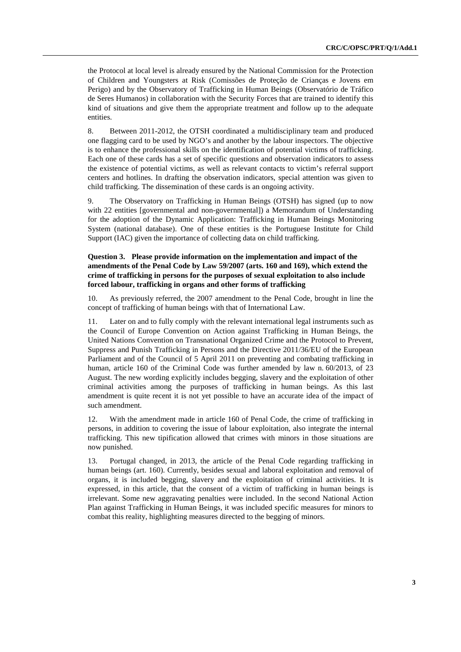the Protocol at local level is already ensured by the National Commission for the Protection of Children and Youngsters at Risk (Comissões de Proteção de Crianças e Jovens em Perigo) and by the Observatory of Trafficking in Human Beings (Observatório de Tráfico de Seres Humanos) in collaboration with the Security Forces that are trained to identify this kind of situations and give them the appropriate treatment and follow up to the adequate entities.

8. Between 2011-2012, the OTSH coordinated a multidisciplinary team and produced one flagging card to be used by NGO's and another by the labour inspectors. The objective is to enhance the professional skills on the identification of potential victims of trafficking. Each one of these cards has a set of specific questions and observation indicators to assess the existence of potential victims, as well as relevant contacts to victim's referral support centers and hotlines. In drafting the observation indicators, special attention was given to child trafficking. The dissemination of these cards is an ongoing activity.

9. The Observatory on Trafficking in Human Beings (OTSH) has signed (up to now with 22 entities [governmental and non-governmental]) a Memorandum of Understanding for the adoption of the Dynamic Application: Trafficking in Human Beings Monitoring System (national database). One of these entities is the Portuguese Institute for Child Support (IAC) given the importance of collecting data on child trafficking.

#### **Question 3. Please provide information on the implementation and impact of the amendments of the Penal Code by Law 59/2007 (arts. 160 and 169), which extend the crime of trafficking in persons for the purposes of sexual exploitation to also include forced labour, trafficking in organs and other forms of trafficking**

10. As previously referred, the 2007 amendment to the Penal Code, brought in line the concept of trafficking of human beings with that of International Law.

11. Later on and to fully comply with the relevant international legal instruments such as the Council of Europe Convention on Action against Trafficking in Human Beings, the United Nations Convention on Transnational Organized Crime and the Protocol to Prevent, Suppress and Punish Trafficking in Persons and the Directive 2011/36/EU of the European Parliament and of the Council of 5 April 2011 on preventing and combating trafficking in human, article 160 of the Criminal Code was further amended by law n. 60/2013, of 23 August. The new wording explicitly includes begging, slavery and the exploitation of other criminal activities among the purposes of trafficking in human beings. As this last amendment is quite recent it is not yet possible to have an accurate idea of the impact of such amendment.

12. With the amendment made in article 160 of Penal Code, the crime of trafficking in persons, in addition to covering the issue of labour exploitation, also integrate the internal trafficking. This new tipification allowed that crimes with minors in those situations are now punished.

13. Portugal changed, in 2013, the article of the Penal Code regarding trafficking in human beings (art. 160). Currently, besides sexual and laboral exploitation and removal of organs, it is included begging, slavery and the exploitation of criminal activities. It is expressed, in this article, that the consent of a victim of trafficking in human beings is irrelevant. Some new aggravating penalties were included. In the second National Action Plan against Trafficking in Human Beings, it was included specific measures for minors to combat this reality, highlighting measures directed to the begging of minors.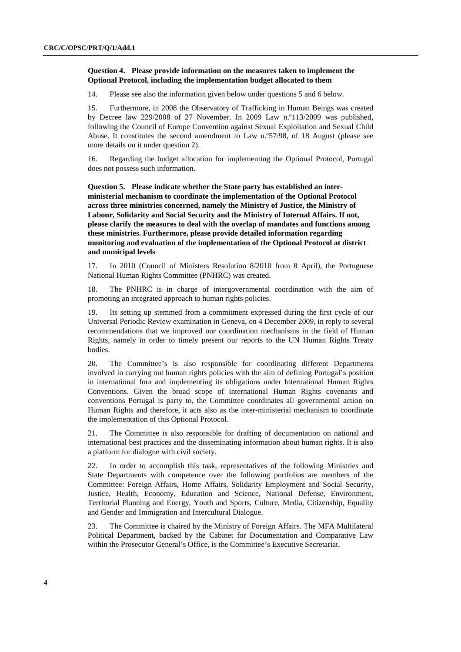#### **Question 4. Please provide information on the measures taken to implement the Optional Protocol, including the implementation budget allocated to them**

14. Please see also the information given below under questions 5 and 6 below.

15. Furthermore, in 2008 the Observatory of Trafficking in Human Beings was created by Decree law 229/2008 of 27 November. In 2009 Law n.º113/2009 was published, following the Council of Europe Convention against Sexual Exploitation and Sexual Child Abuse. It constitutes the second amendment to Law n.º57/98, of 18 August (please see more details on it under question 2).

16. Regarding the budget allocation for implementing the Optional Protocol, Portugal does not possess such information.

 **Question 5. Please indicate whether the State party has established an interministerial mechanism to coordinate the implementation of the Optional Protocol across three ministries concerned, namely the Ministry of Justice, the Ministry of Labour, Solidarity and Social Security and the Ministry of Internal Affairs. If not, please clarify the measures to deal with the overlap of mandates and functions among these ministries. Furthermore, please provide detailed information regarding monitoring and evaluation of the implementation of the Optional Protocol at district and municipal levels** 

17. In 2010 (Council of Ministers Resolution 8/2010 from 8 April), the Portuguese National Human Rights Committee (PNHRC) was created.

18. The PNHRC is in charge of intergovernmental coordination with the aim of promoting an integrated approach to human rights policies.

19. Its setting up stemmed from a commitment expressed during the first cycle of our Universal Periodic Review examination in Geneva, on 4 December 2009, in reply to several recommendations that we improved our coordination mechanisms in the field of Human Rights, namely in order to timely present our reports to the UN Human Rights Treaty bodies.

20. The Committee's is also responsible for coordinating different Departments involved in carrying out human rights policies with the aim of defining Portugal's position in international fora and implementing its obligations under International Human Rights Conventions. Given the broad scope of international Human Rights covenants and conventions Portugal is party to, the Committee coordinates all governmental action on Human Rights and therefore, it acts also as the inter-ministerial mechanism to coordinate the implementation of this Optional Protocol.

21. The Committee is also responsible for drafting of documentation on national and international best practices and the disseminating information about human rights. It is also a platform for dialogue with civil society.

22. In order to accomplish this task, representatives of the following Ministries and State Departments with competence over the following portfolios are members of the Committee: Foreign Affairs, Home Affairs, Solidarity Employment and Social Security, Justice, Health, Economy, Education and Science, National Defense, Environment, Territorial Planning and Energy, Youth and Sports, Culture, Media, Citizenship, Equality and Gender and Immigration and Intercultural Dialogue.

23. The Committee is chaired by the Ministry of Foreign Affairs. The MFA Multilateral Political Department, backed by the Cabinet for Documentation and Comparative Law within the Prosecutor General's Office, is the Committee's Executive Secretariat.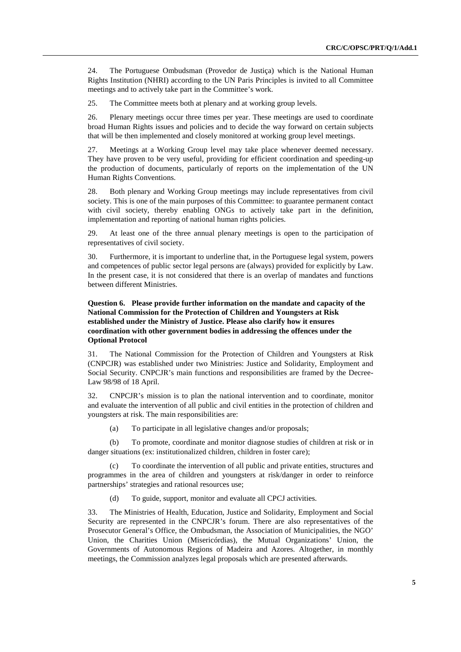24. The Portuguese Ombudsman (Provedor de Justiça) which is the National Human Rights Institution (NHRI) according to the UN Paris Principles is invited to all Committee meetings and to actively take part in the Committee's work.

25. The Committee meets both at plenary and at working group levels.

26. Plenary meetings occur three times per year. These meetings are used to coordinate broad Human Rights issues and policies and to decide the way forward on certain subjects that will be then implemented and closely monitored at working group level meetings.

27. Meetings at a Working Group level may take place whenever deemed necessary. They have proven to be very useful, providing for efficient coordination and speeding-up the production of documents, particularly of reports on the implementation of the UN Human Rights Conventions.

28. Both plenary and Working Group meetings may include representatives from civil society. This is one of the main purposes of this Committee: to guarantee permanent contact with civil society, thereby enabling ONGs to actively take part in the definition, implementation and reporting of national human rights policies.

29. At least one of the three annual plenary meetings is open to the participation of representatives of civil society.

30. Furthermore, it is important to underline that, in the Portuguese legal system, powers and competences of public sector legal persons are (always) provided for explicitly by Law. In the present case, it is not considered that there is an overlap of mandates and functions between different Ministries.

 **Question 6. Please provide further information on the mandate and capacity of the National Commission for the Protection of Children and Youngsters at Risk established under the Ministry of Justice. Please also clarify how it ensures coordination with other government bodies in addressing the offences under the Optional Protocol** 

31. The National Commission for the Protection of Children and Youngsters at Risk (CNPCJR) was established under two Ministries: Justice and Solidarity, Employment and Social Security. CNPCJR's main functions and responsibilities are framed by the Decree-Law 98/98 of 18 April.

32. CNPCJR's mission is to plan the national intervention and to coordinate, monitor and evaluate the intervention of all public and civil entities in the protection of children and youngsters at risk. The main responsibilities are:

(a) To participate in all legislative changes and/or proposals;

(b) To promote, coordinate and monitor diagnose studies of children at risk or in danger situations (ex: institutionalized children, children in foster care);

(c) To coordinate the intervention of all public and private entities, structures and programmes in the area of children and youngsters at risk/danger in order to reinforce partnerships' strategies and rational resources use;

(d) To guide, support, monitor and evaluate all CPCJ activities.

33. The Ministries of Health, Education, Justice and Solidarity, Employment and Social Security are represented in the CNPCJR's forum. There are also representatives of the Prosecutor General's Office, the Ombudsman, the Association of Municipalities, the NGO' Union, the Charities Union (Misericórdias), the Mutual Organizations' Union, the Governments of Autonomous Regions of Madeira and Azores. Altogether, in monthly meetings, the Commission analyzes legal proposals which are presented afterwards.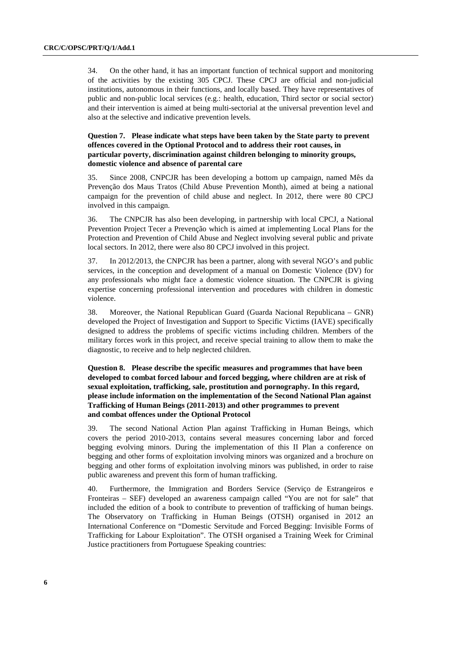34. On the other hand, it has an important function of technical support and monitoring of the activities by the existing 305 CPCJ. These CPCJ are official and non-judicial institutions, autonomous in their functions, and locally based. They have representatives of public and non-public local services (e.g.: health, education, Third sector or social sector) and their intervention is aimed at being multi-sectorial at the universal prevention level and also at the selective and indicative prevention levels.

#### **Question 7. Please indicate what steps have been taken by the State party to prevent offences covered in the Optional Protocol and to address their root causes, in particular poverty, discrimination against children belonging to minority groups, domestic violence and absence of parental care**

35. Since 2008, CNPCJR has been developing a bottom up campaign, named Mês da Prevenção dos Maus Tratos (Child Abuse Prevention Month), aimed at being a national campaign for the prevention of child abuse and neglect. In 2012, there were 80 CPCJ involved in this campaign.

36. The CNPCJR has also been developing, in partnership with local CPCJ, a National Prevention Project Tecer a Prevenção which is aimed at implementing Local Plans for the Protection and Prevention of Child Abuse and Neglect involving several public and private local sectors. In 2012, there were also 80 CPCJ involved in this project.

37. In 2012/2013, the CNPCJR has been a partner, along with several NGO's and public services, in the conception and development of a manual on Domestic Violence (DV) for any professionals who might face a domestic violence situation. The CNPCJR is giving expertise concerning professional intervention and procedures with children in domestic violence.

38. Moreover, the National Republican Guard (Guarda Nacional Republicana – GNR) developed the Project of Investigation and Support to Specific Victims (IAVE) specifically designed to address the problems of specific victims including children. Members of the military forces work in this project, and receive special training to allow them to make the diagnostic, to receive and to help neglected children.

#### **Question 8. Please describe the specific measures and programmes that have been developed to combat forced labour and forced begging, where children are at risk of sexual exploitation, trafficking, sale, prostitution and pornography. In this regard, please include information on the implementation of the Second National Plan against Trafficking of Human Beings (2011-2013) and other programmes to prevent and combat offences under the Optional Protocol**

39. The second National Action Plan against Trafficking in Human Beings, which covers the period 2010-2013, contains several measures concerning labor and forced begging evolving minors. During the implementation of this II Plan a conference on begging and other forms of exploitation involving minors was organized and a brochure on begging and other forms of exploitation involving minors was published, in order to raise public awareness and prevent this form of human trafficking.

40. Furthermore, the Immigration and Borders Service (Serviço de Estrangeiros e Fronteiras – SEF) developed an awareness campaign called "You are not for sale" that included the edition of a book to contribute to prevention of trafficking of human beings. The Observatory on Trafficking in Human Beings (OTSH) organised in 2012 an International Conference on "Domestic Servitude and Forced Begging: Invisible Forms of Trafficking for Labour Exploitation". The OTSH organised a Training Week for Criminal Justice practitioners from Portuguese Speaking countries: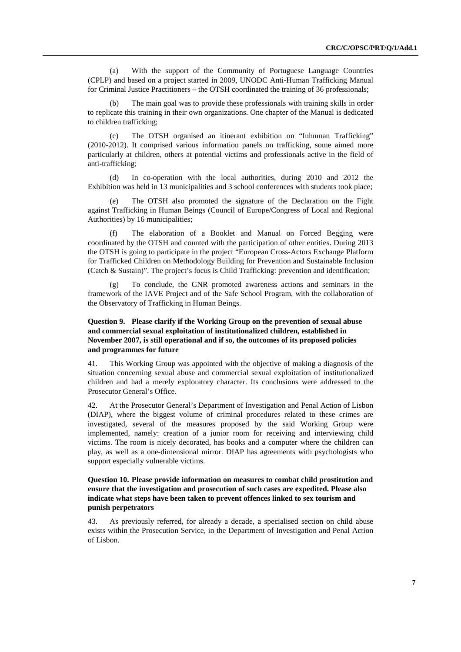(a) With the support of the Community of Portuguese Language Countries (CPLP) and based on a project started in 2009, UNODC Anti-Human Trafficking Manual for Criminal Justice Practitioners – the OTSH coordinated the training of 36 professionals;

The main goal was to provide these professionals with training skills in order to replicate this training in their own organizations. One chapter of the Manual is dedicated to children trafficking;

(c) The OTSH organised an itinerant exhibition on "Inhuman Trafficking" (2010-2012). It comprised various information panels on trafficking, some aimed more particularly at children, others at potential victims and professionals active in the field of anti-trafficking;

(d) In co-operation with the local authorities, during 2010 and 2012 the Exhibition was held in 13 municipalities and 3 school conferences with students took place;

(e) The OTSH also promoted the signature of the Declaration on the Fight against Trafficking in Human Beings (Council of Europe/Congress of Local and Regional Authorities) by 16 municipalities;

(f) The elaboration of a Booklet and Manual on Forced Begging were coordinated by the OTSH and counted with the participation of other entities. During 2013 the OTSH is going to participate in the project "European Cross-Actors Exchange Platform for Trafficked Children on Methodology Building for Prevention and Sustainable Inclusion (Catch & Sustain)". The project's focus is Child Trafficking: prevention and identification;

To conclude, the GNR promoted awareness actions and seminars in the framework of the IAVE Project and of the Safe School Program, with the collaboration of the Observatory of Trafficking in Human Beings.

#### **Question 9. Please clarify if the Working Group on the prevention of sexual abuse and commercial sexual exploitation of institutionalized children, established in November 2007, is still operational and if so, the outcomes of its proposed policies and programmes for future**

41. This Working Group was appointed with the objective of making a diagnosis of the situation concerning sexual abuse and commercial sexual exploitation of institutionalized children and had a merely exploratory character. Its conclusions were addressed to the Prosecutor General's Office.

42. At the Prosecutor General's Department of Investigation and Penal Action of Lisbon (DIAP), where the biggest volume of criminal procedures related to these crimes are investigated, several of the measures proposed by the said Working Group were implemented, namely: creation of a junior room for receiving and interviewing child victims. The room is nicely decorated, has books and a computer where the children can play, as well as a one-dimensional mirror. DIAP has agreements with psychologists who support especially vulnerable victims.

#### **Question 10. Please provide information on measures to combat child prostitution and ensure that the investigation and prosecution of such cases are expedited. Please also indicate what steps have been taken to prevent offences linked to sex tourism and punish perpetrators**

43. As previously referred, for already a decade, a specialised section on child abuse exists within the Prosecution Service, in the Department of Investigation and Penal Action of Lisbon.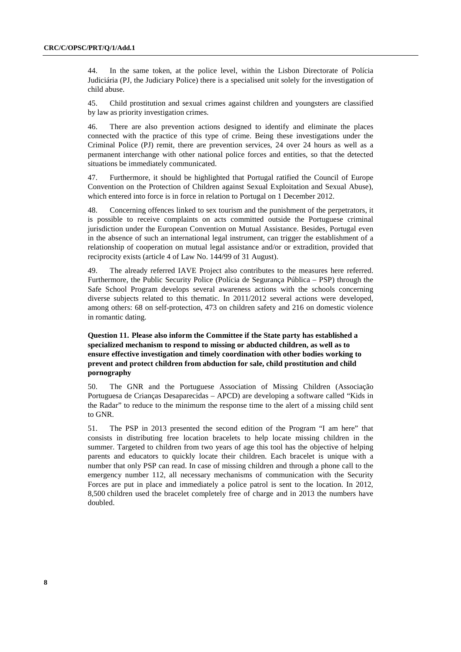44. In the same token, at the police level, within the Lisbon Directorate of Polícia Judiciária (PJ, the Judiciary Police) there is a specialised unit solely for the investigation of child abuse.

45. Child prostitution and sexual crimes against children and youngsters are classified by law as priority investigation crimes.

46. There are also prevention actions designed to identify and eliminate the places connected with the practice of this type of crime. Being these investigations under the Criminal Police (PJ) remit, there are prevention services, 24 over 24 hours as well as a permanent interchange with other national police forces and entities, so that the detected situations be immediately communicated.

47. Furthermore, it should be highlighted that Portugal ratified the Council of Europe Convention on the Protection of Children against Sexual Exploitation and Sexual Abuse), which entered into force is in force in relation to Portugal on 1 December 2012.

48. Concerning offences linked to sex tourism and the punishment of the perpetrators, it is possible to receive complaints on acts committed outside the Portuguese criminal jurisdiction under the European Convention on Mutual Assistance. Besides, Portugal even in the absence of such an international legal instrument, can trigger the establishment of a relationship of cooperation on mutual legal assistance and/or or extradition, provided that reciprocity exists (article 4 of Law No. 144/99 of 31 August).

49. The already referred IAVE Project also contributes to the measures here referred. Furthermore, the Public Security Police (Polícia de Segurança Pública – PSP) through the Safe School Program develops several awareness actions with the schools concerning diverse subjects related to this thematic. In 2011/2012 several actions were developed, among others: 68 on self-protection, 473 on children safety and 216 on domestic violence in romantic dating.

### **Question 11. Please also inform the Committee if the State party has established a specialized mechanism to respond to missing or abducted children, as well as to ensure effective investigation and timely coordination with other bodies working to prevent and protect children from abduction for sale, child prostitution and child pornography**

50. The GNR and the Portuguese Association of Missing Children (Associação Portuguesa de Crianças Desaparecidas – APCD) are developing a software called "Kids in the Radar" to reduce to the minimum the response time to the alert of a missing child sent to GNR.

51. The PSP in 2013 presented the second edition of the Program "I am here" that consists in distributing free location bracelets to help locate missing children in the summer. Targeted to children from two years of age this tool has the objective of helping parents and educators to quickly locate their children. Each bracelet is unique with a number that only PSP can read. In case of missing children and through a phone call to the emergency number 112, all necessary mechanisms of communication with the Security Forces are put in place and immediately a police patrol is sent to the location. In 2012, 8,500 children used the bracelet completely free of charge and in 2013 the numbers have doubled.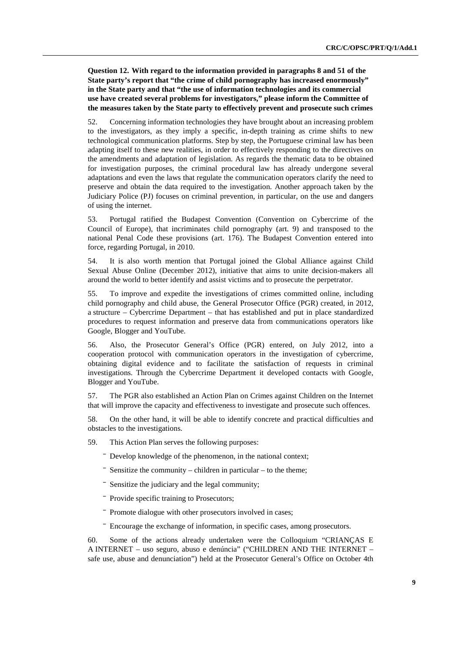**Question 12. With regard to the information provided in paragraphs 8 and 51 of the State party's report that "the crime of child pornography has increased enormously" in the State party and that "the use of information technologies and its commercial use have created several problems for investigators," please inform the Committee of the measures taken by the State party to effectively prevent and prosecute such crimes** 

52. Concerning information technologies they have brought about an increasing problem to the investigators, as they imply a specific, in-depth training as crime shifts to new technological communication platforms. Step by step, the Portuguese criminal law has been adapting itself to these new realities, in order to effectively responding to the directives on the amendments and adaptation of legislation. As regards the thematic data to be obtained for investigation purposes, the criminal procedural law has already undergone several adaptations and even the laws that regulate the communication operators clarify the need to preserve and obtain the data required to the investigation. Another approach taken by the Judiciary Police (PJ) focuses on criminal prevention, in particular, on the use and dangers of using the internet.

53. Portugal ratified the Budapest Convention (Convention on Cybercrime of the Council of Europe), that incriminates child pornography (art. 9) and transposed to the national Penal Code these provisions (art. 176). The Budapest Convention entered into force, regarding Portugal, in 2010.

54. It is also worth mention that Portugal joined the Global Alliance against Child Sexual Abuse Online (December 2012), initiative that aims to unite decision-makers all around the world to better identify and assist victims and to prosecute the perpetrator.

55. To improve and expedite the investigations of crimes committed online, including child pornography and child abuse, the General Prosecutor Office (PGR) created, in 2012, a structure – Cybercrime Department – that has established and put in place standardized procedures to request information and preserve data from communications operators like Google, Blogger and YouTube.

56. Also, the Prosecutor General's Office (PGR) entered, on July 2012, into a cooperation protocol with communication operators in the investigation of cybercrime, obtaining digital evidence and to facilitate the satisfaction of requests in criminal investigations. Through the Cybercrime Department it developed contacts with Google, Blogger and YouTube.

57. The PGR also established an Action Plan on Crimes against Children on the Internet that will improve the capacity and effectiveness to investigate and prosecute such offences.

58. On the other hand, it will be able to identify concrete and practical difficulties and obstacles to the investigations.

59. This Action Plan serves the following purposes:

- Develop knowledge of the phenomenon, in the national context;

- $\overline{\phantom{a}}$  Sensitize the community children in particular to the theme;
- ⎯ Sensitize the judiciary and the legal community;
- ⎯ Provide specific training to Prosecutors;
- ⎯ Promote dialogue with other prosecutors involved in cases;
- ⎯ Encourage the exchange of information, in specific cases, among prosecutors.

60. Some of the actions already undertaken were the Colloquium "CRIANÇAS E A INTERNET – uso seguro, abuso e denúncia" ("CHILDREN AND THE INTERNET – safe use, abuse and denunciation") held at the Prosecutor General's Office on October 4th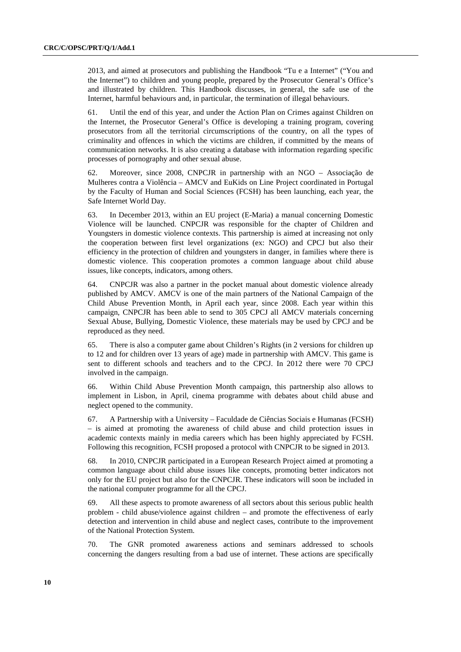2013, and aimed at prosecutors and publishing the Handbook "Tu e a Internet" ("You and the Internet") to children and young people, prepared by the Prosecutor General's Office's and illustrated by children. This Handbook discusses, in general, the safe use of the Internet, harmful behaviours and, in particular, the termination of illegal behaviours.

61. Until the end of this year, and under the Action Plan on Crimes against Children on the Internet, the Prosecutor General's Office is developing a training program, covering prosecutors from all the territorial circumscriptions of the country, on all the types of criminality and offences in which the victims are children, if committed by the means of communication networks. It is also creating a database with information regarding specific processes of pornography and other sexual abuse.

62. Moreover, since 2008, CNPCJR in partnership with an NGO – Associação de Mulheres contra a Violência – AMCV and EuKids on Line Project coordinated in Portugal by the Faculty of Human and Social Sciences (FCSH) has been launching, each year, the Safe Internet World Day.

63. In December 2013, within an EU project (E-Maria) a manual concerning Domestic Violence will be launched. CNPCJR was responsible for the chapter of Children and Youngsters in domestic violence contexts. This partnership is aimed at increasing not only the cooperation between first level organizations (ex: NGO) and CPCJ but also their efficiency in the protection of children and youngsters in danger, in families where there is domestic violence. This cooperation promotes a common language about child abuse issues, like concepts, indicators, among others.

64. CNPCJR was also a partner in the pocket manual about domestic violence already published by AMCV. AMCV is one of the main partners of the National Campaign of the Child Abuse Prevention Month, in April each year, since 2008. Each year within this campaign, CNPCJR has been able to send to 305 CPCJ all AMCV materials concerning Sexual Abuse, Bullying, Domestic Violence, these materials may be used by CPCJ and be reproduced as they need.

65. There is also a computer game about Children's Rights (in 2 versions for children up to 12 and for children over 13 years of age) made in partnership with AMCV. This game is sent to different schools and teachers and to the CPCJ. In 2012 there were 70 CPCJ involved in the campaign.

66. Within Child Abuse Prevention Month campaign, this partnership also allows to implement in Lisbon, in April, cinema programme with debates about child abuse and neglect opened to the community.

67. A Partnership with a University – Faculdade de Ciências Sociais e Humanas (FCSH) – is aimed at promoting the awareness of child abuse and child protection issues in academic contexts mainly in media careers which has been highly appreciated by FCSH. Following this recognition, FCSH proposed a protocol with CNPCJR to be signed in 2013.

68. In 2010, CNPCJR participated in a European Research Project aimed at promoting a common language about child abuse issues like concepts, promoting better indicators not only for the EU project but also for the CNPCJR. These indicators will soon be included in the national computer programme for all the CPCJ.

69. All these aspects to promote awareness of all sectors about this serious public health problem - child abuse/violence against children – and promote the effectiveness of early detection and intervention in child abuse and neglect cases, contribute to the improvement of the National Protection System.

70. The GNR promoted awareness actions and seminars addressed to schools concerning the dangers resulting from a bad use of internet. These actions are specifically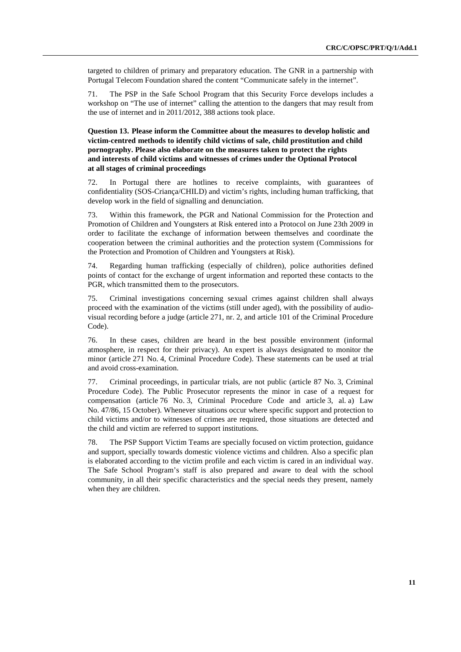targeted to children of primary and preparatory education. The GNR in a partnership with Portugal Telecom Foundation shared the content "Communicate safely in the internet".

71. The PSP in the Safe School Program that this Security Force develops includes a workshop on "The use of internet" calling the attention to the dangers that may result from the use of internet and in 2011/2012, 388 actions took place.

#### **Question 13. Please inform the Committee about the measures to develop holistic and victim-centred methods to identify child victims of sale, child prostitution and child pornography. Please also elaborate on the measures taken to protect the rights and interests of child victims and witnesses of crimes under the Optional Protocol at all stages of criminal proceedings**

72. In Portugal there are hotlines to receive complaints, with guarantees of confidentiality (SOS-Criança/CHILD) and victim's rights, including human trafficking, that develop work in the field of signalling and denunciation.

73. Within this framework, the PGR and National Commission for the Protection and Promotion of Children and Youngsters at Risk entered into a Protocol on June 23th 2009 in order to facilitate the exchange of information between themselves and coordinate the cooperation between the criminal authorities and the protection system (Commissions for the Protection and Promotion of Children and Youngsters at Risk).

74. Regarding human trafficking (especially of children), police authorities defined points of contact for the exchange of urgent information and reported these contacts to the PGR, which transmitted them to the prosecutors.

75. Criminal investigations concerning sexual crimes against children shall always proceed with the examination of the victims (still under aged), with the possibility of audiovisual recording before a judge (article 271, nr. 2, and article 101 of the Criminal Procedure Code).

76. In these cases, children are heard in the best possible environment (informal atmosphere, in respect for their privacy). An expert is always designated to monitor the minor (article 271 No. 4, Criminal Procedure Code). These statements can be used at trial and avoid cross-examination.

77. Criminal proceedings, in particular trials, are not public (article 87 No. 3, Criminal Procedure Code). The Public Prosecutor represents the minor in case of a request for compensation (article 76 No. 3, Criminal Procedure Code and article 3, al. a) Law No. 47/86, 15 October). Whenever situations occur where specific support and protection to child victims and/or to witnesses of crimes are required, those situations are detected and the child and victim are referred to support institutions.

78. The PSP Support Victim Teams are specially focused on victim protection, guidance and support, specially towards domestic violence victims and children. Also a specific plan is elaborated according to the victim profile and each victim is cared in an individual way. The Safe School Program's staff is also prepared and aware to deal with the school community, in all their specific characteristics and the special needs they present, namely when they are children.